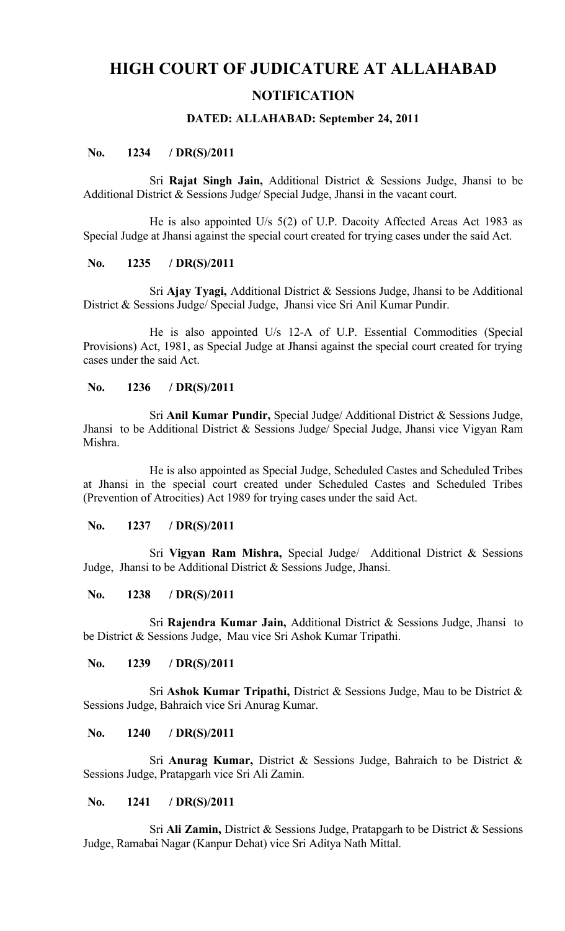# **HIGH COURT OF JUDICATURE AT ALLAHABAD**

## **NOTIFICATION**

## **DATED: ALLAHABAD: September 24, 2011**

## **No. 1234 / DR(S)/2011**

Sri **Rajat Singh Jain,** Additional District & Sessions Judge, Jhansi to be Additional District & Sessions Judge/ Special Judge, Jhansi in the vacant court.

He is also appointed U/s 5(2) of U.P. Dacoity Affected Areas Act 1983 as Special Judge at Jhansi against the special court created for trying cases under the said Act.

## **No. 1235 / DR(S)/2011**

Sri **Ajay Tyagi,** Additional District & Sessions Judge, Jhansi to be Additional District & Sessions Judge/ Special Judge, Jhansi vice Sri Anil Kumar Pundir.

He is also appointed U/s 12-A of U.P. Essential Commodities (Special Provisions) Act, 1981, as Special Judge at Jhansi against the special court created for trying cases under the said Act.

## **No. 1236 / DR(S)/2011**

Sri **Anil Kumar Pundir,** Special Judge/ Additional District & Sessions Judge, Jhansi to be Additional District & Sessions Judge/ Special Judge, Jhansi vice Vigyan Ram Mishra.

He is also appointed as Special Judge, Scheduled Castes and Scheduled Tribes at Jhansi in the special court created under Scheduled Castes and Scheduled Tribes (Prevention of Atrocities) Act 1989 for trying cases under the said Act.

## **No. 1237 / DR(S)/2011**

Sri **Vigyan Ram Mishra,** Special Judge/ Additional District & Sessions Judge, Jhansi to be Additional District & Sessions Judge, Jhansi.

## **No. 1238 / DR(S)/2011**

Sri **Rajendra Kumar Jain,** Additional District & Sessions Judge, Jhansi to be District & Sessions Judge, Mau vice Sri Ashok Kumar Tripathi.

## **No. 1239 / DR(S)/2011**

Sri **Ashok Kumar Tripathi,** District & Sessions Judge, Mau to be District & Sessions Judge, Bahraich vice Sri Anurag Kumar.

## **No. 1240 / DR(S)/2011**

Sri **Anurag Kumar,** District & Sessions Judge, Bahraich to be District & Sessions Judge, Pratapgarh vice Sri Ali Zamin.

## **No. 1241 / DR(S)/2011**

Sri **Ali Zamin,** District & Sessions Judge, Pratapgarh to be District & Sessions Judge, Ramabai Nagar (Kanpur Dehat) vice Sri Aditya Nath Mittal.